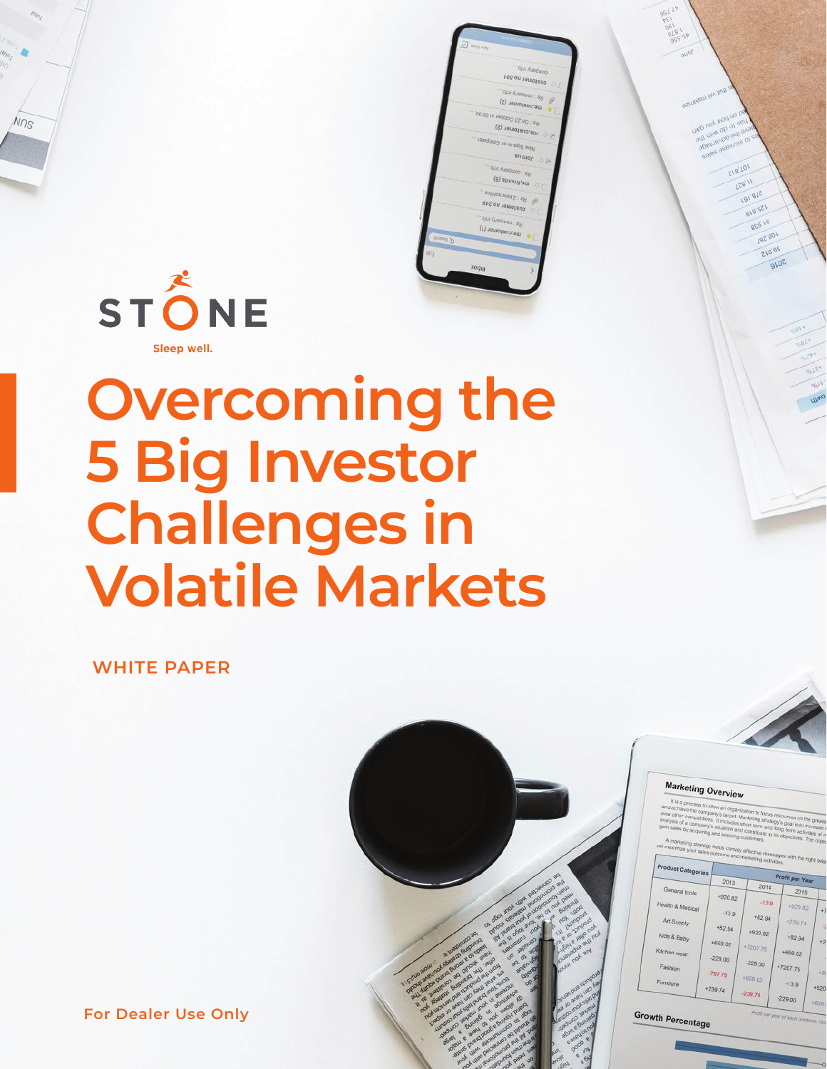

 $N<sub>0s</sub>$ 

| <b>SELL URIO AVOID</b>              |
|-------------------------------------|
| - ojuj Kuedwoo                      |
| J @ chalomer no.001                 |
| Re : company info                   |
| 12.<br>me,customer (2)              |
|                                     |
| Re : On 23 October at 09:00,        |
| N C me,customer (2)                 |
| New Sign-in on Computer             |
| on moto by                          |
| Re : company info                   |
| (9) spuery ew                       |
| Re : 2 new notifiea                 |
| $\mathscr{D}$<br>customer no.249    |
| <b>VA</b>                           |
| Re : company info.                  |
| (L) Jaulossnorau<br><b>Assess P</b> |
|                                     |
| 御引                                  |
| xoquy                               |
|                                     |
|                                     |
|                                     |
|                                     |
|                                     |
|                                     |
|                                     |
|                                     |
|                                     |
|                                     |
|                                     |

# **Overcoming the 5 Big Investor Challenges in Volatile Markets**

**WHITE PAPER**





ZIB'LOI **LZB'11 191'8LZ** 618'521 856'16 197'801

| Product Categories |                      | Profit per Year |           |        |  |  |
|--------------------|----------------------|-----------------|-----------|--------|--|--|
| General tools      | 2013                 | 2014            | 2015      |        |  |  |
| Health & Medical   | +920.82              | $-13.9$         | $+920.82$ |        |  |  |
| Art Supply         | $-13.9$              | $+82.94$        | $+239.74$ |        |  |  |
| Kids & Baby        | $+82.94$             | +920.82         | $+82.94$  |        |  |  |
| Kitchen wear       | +659.02<br>$-229.00$ | +7207.75        | +659.02   |        |  |  |
| Fashion            | $-797.75$            | $-229.00$       | +7207.75  | +8     |  |  |
| Furniture          | +239.74              | +659.02         | $-13.9$   | $+920$ |  |  |
|                    |                      | $-239.74$       | $-229.00$ | $+659$ |  |  |

**For Dealer Use Only**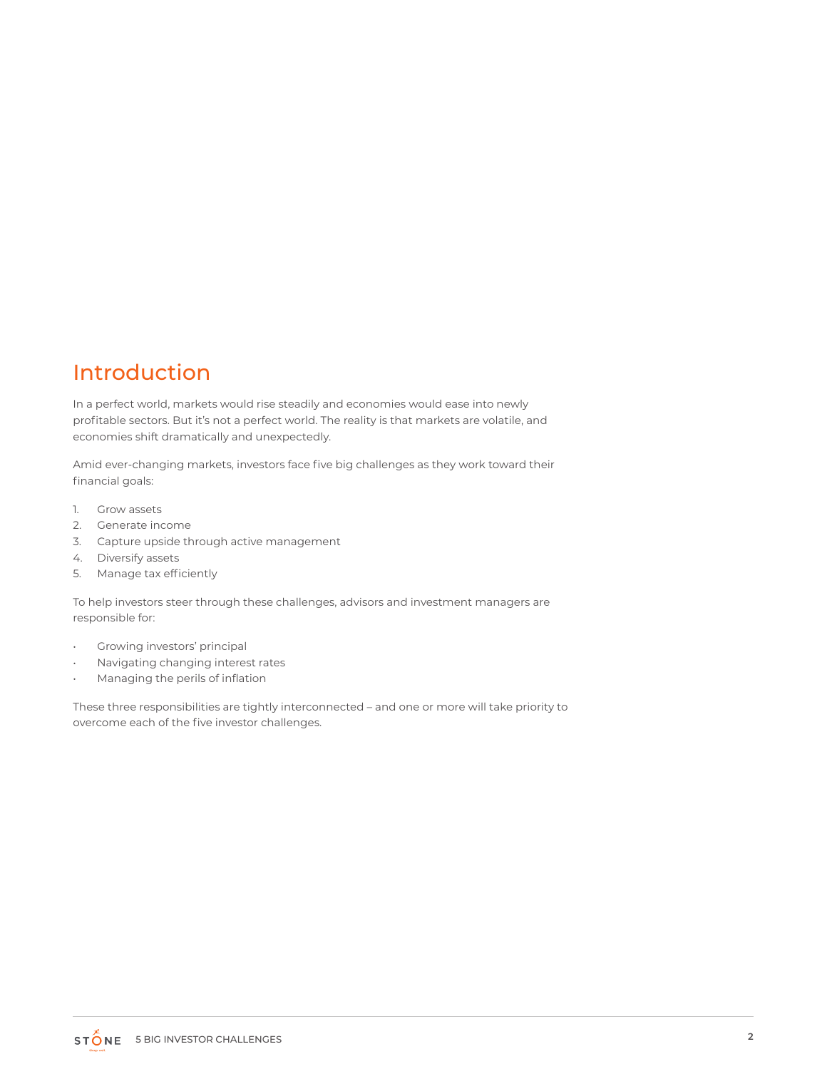### Introduction

In a perfect world, markets would rise steadily and economies would ease into newly profitable sectors. But it's not a perfect world. The reality is that markets are volatile, and economies shift dramatically and unexpectedly.

Amid ever-changing markets, investors face five big challenges as they work toward their financial goals:

- 1. Grow assets
- 2. Generate income
- 3. Capture upside through active management
- 4. Diversify assets
- 5. Manage tax efficiently

To help investors steer through these challenges, advisors and investment managers are responsible for:

- Growing investors' principal
- Navigating changing interest rates
- Managing the perils of inflation

These three responsibilities are tightly interconnected – and one or more will take priority to overcome each of the five investor challenges.

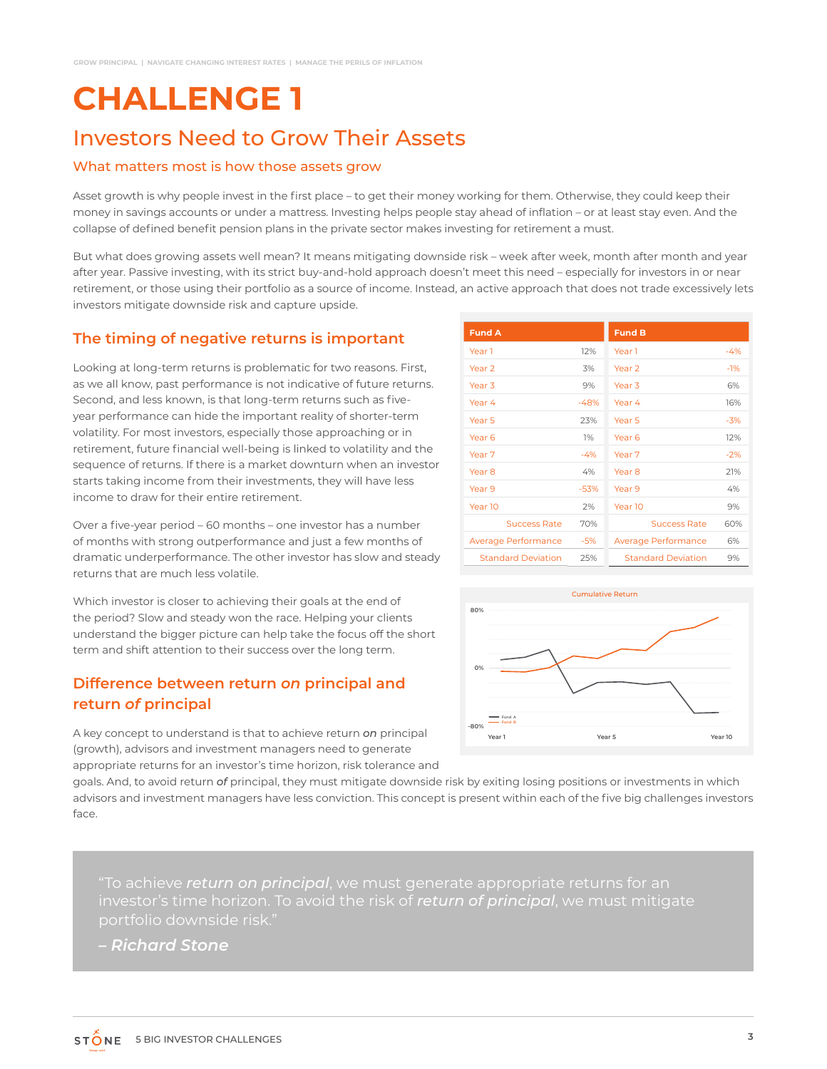### Investors Need to Grow Their Assets

#### What matters most is how those assets grow

Asset growth is why people invest in the first place – to get their money working for them. Otherwise, they could keep their money in savings accounts or under a mattress. Investing helps people stay ahead of inflation – or at least stay even. And the collapse of defined benefit pension plans in the private sector makes investing for retirement a must.

But what does growing assets well mean? It means mitigating downside risk – week after week, month after month and year after year. Passive investing, with its strict buy-and-hold approach doesn't meet this need – especially for investors in or near retirement, or those using their portfolio as a source of income. Instead, an active approach that does not trade excessively lets investors mitigate downside risk and capture upside.

#### **The timing of negative returns is important**

Looking at long-term returns is problematic for two reasons. First, as we all know, past performance is not indicative of future returns. Second, and less known, is that long-term returns such as fiveyear performance can hide the important reality of shorter-term volatility. For most investors, especially those approaching or in retirement, future financial well-being is linked to volatility and the sequence of returns. If there is a market downturn when an investor starts taking income from their investments, they will have less income to draw for their entire retirement.

Over a five-year period – 60 months – one investor has a number of months with strong outperformance and just a few months of dramatic underperformance. The other investor has slow and steady returns that are much less volatile.

Which investor is closer to achieving their goals at the end of the period? Slow and steady won the race. Helping your clients understand the bigger picture can help take the focus off the short term and shift attention to their success over the long term.

#### **Difference between return** *on* **principal and return** *of* **principal**

A key concept to understand is that to achieve return *on* principal (growth), advisors and investment managers need to generate appropriate returns for an investor's time horizon, risk tolerance and

| <b>Fund A</b>             |        | <b>Fund B</b>             |       |
|---------------------------|--------|---------------------------|-------|
| Year 1                    | 12%    | Year 1                    | $-4%$ |
| Year <sub>2</sub>         | 3%     | Year <sub>2</sub>         | $-1%$ |
| Year <sub>3</sub>         | 9%     | Year <sub>3</sub>         | 6%    |
| Year 4                    | $-48%$ | Year 4                    | 16%   |
| Year <sub>5</sub>         | 23%    | Year 5                    | $-3%$ |
| Year 6                    | 1%     | Year 6                    | 12%   |
| Year 7                    | $-4%$  | Year 7                    | $-2%$ |
| Year <sub>8</sub>         | 4%     | Year <sub>8</sub>         | 21%   |
| Year 9                    | $-53%$ | Year 9                    | 4%    |
| Year 10                   | 2%     | Year 10                   | 9%    |
| <b>Success Rate</b>       | 70%    | <b>Success Rate</b>       | 60%   |
| Average Performance       | $-5%$  | Average Performance       | 6%    |
| <b>Standard Deviation</b> | 25%    | <b>Standard Deviation</b> | 9%    |



goals. And, to avoid return *of* principal, they must mitigate downside risk by exiting losing positions or investments in which advisors and investment managers have less conviction. This concept is present within each of the five big challenges investors face.

"To achieve *return on principal*, we must generate appropriate returns for an investor's time horizon. To avoid the risk of *return of principal*, we must mitigate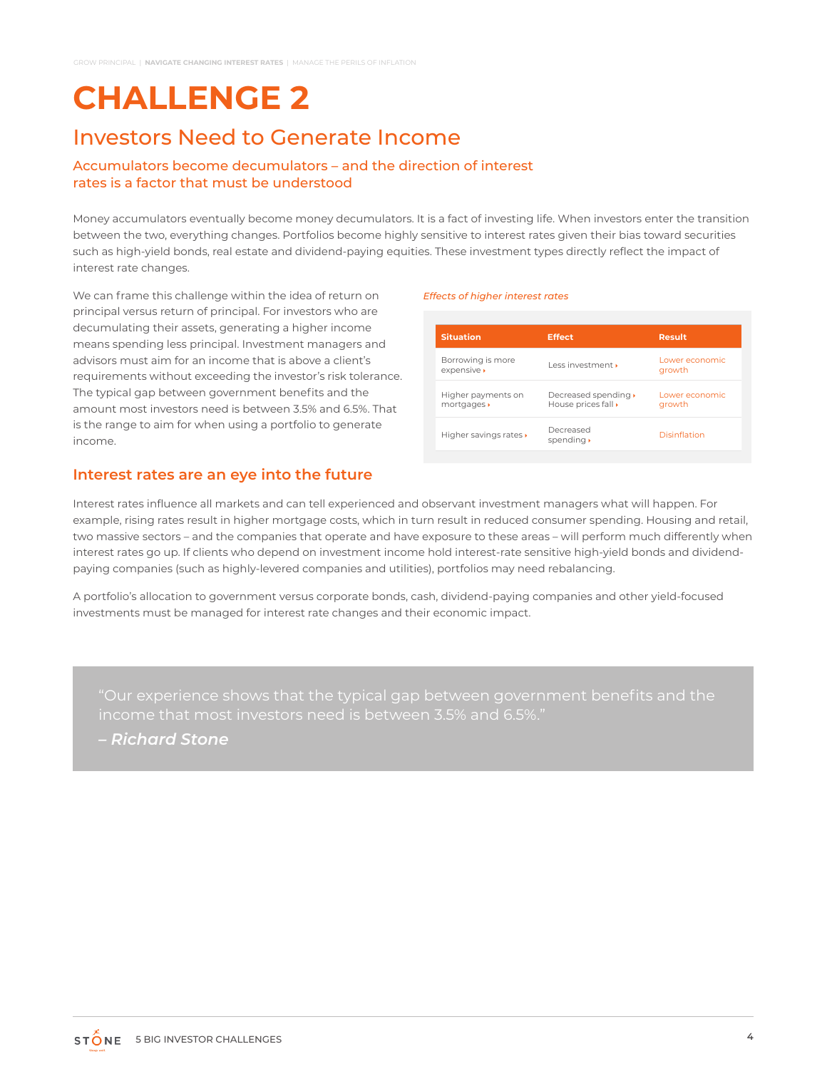### Investors Need to Generate Income

#### Accumulators become decumulators – and the direction of interest rates is a factor that must be understood

Money accumulators eventually become money decumulators. It is a fact of investing life. When investors enter the transition between the two, everything changes. Portfolios become highly sensitive to interest rates given their bias toward securities such as high-yield bonds, real estate and dividend-paying equities. These investment types directly reflect the impact of interest rate changes.

We can frame this challenge within the idea of return on principal versus return of principal. For investors who are decumulating their assets, generating a higher income means spending less principal. Investment managers and advisors must aim for an income that is above a client's requirements without exceeding the investor's risk tolerance. The typical gap between government benefits and the amount most investors need is between 3.5% and 6.5%. That is the range to aim for when using a portfolio to generate income.

#### **Interest rates are an eye into the future**

#### *Effects of higher interest rates*

| <b>Situation</b>                  | <b>Effect</b>                               | <b>Result</b>            |
|-----------------------------------|---------------------------------------------|--------------------------|
| Borrowing is more<br>expensive »  | $l$ ess investment $\cdot$                  | Lower economic<br>growth |
| Higher payments on<br>mortgages » | Decreased spending ▶<br>House prices fall » | Lower economic<br>growth |
| Higher savings rates »            | Decreased<br>spending •                     | Disinflation             |

Interest rates influence all markets and can tell experienced and observant investment managers what will happen. For example, rising rates result in higher mortgage costs, which in turn result in reduced consumer spending. Housing and retail, two massive sectors – and the companies that operate and have exposure to these areas – will perform much differently when interest rates go up. If clients who depend on investment income hold interest-rate sensitive high-yield bonds and dividendpaying companies (such as highly-levered companies and utilities), portfolios may need rebalancing.

A portfolio's allocation to government versus corporate bonds, cash, dividend-paying companies and other yield-focused investments must be managed for interest rate changes and their economic impact.

income that most investors need is between 3.5% and 6.5%."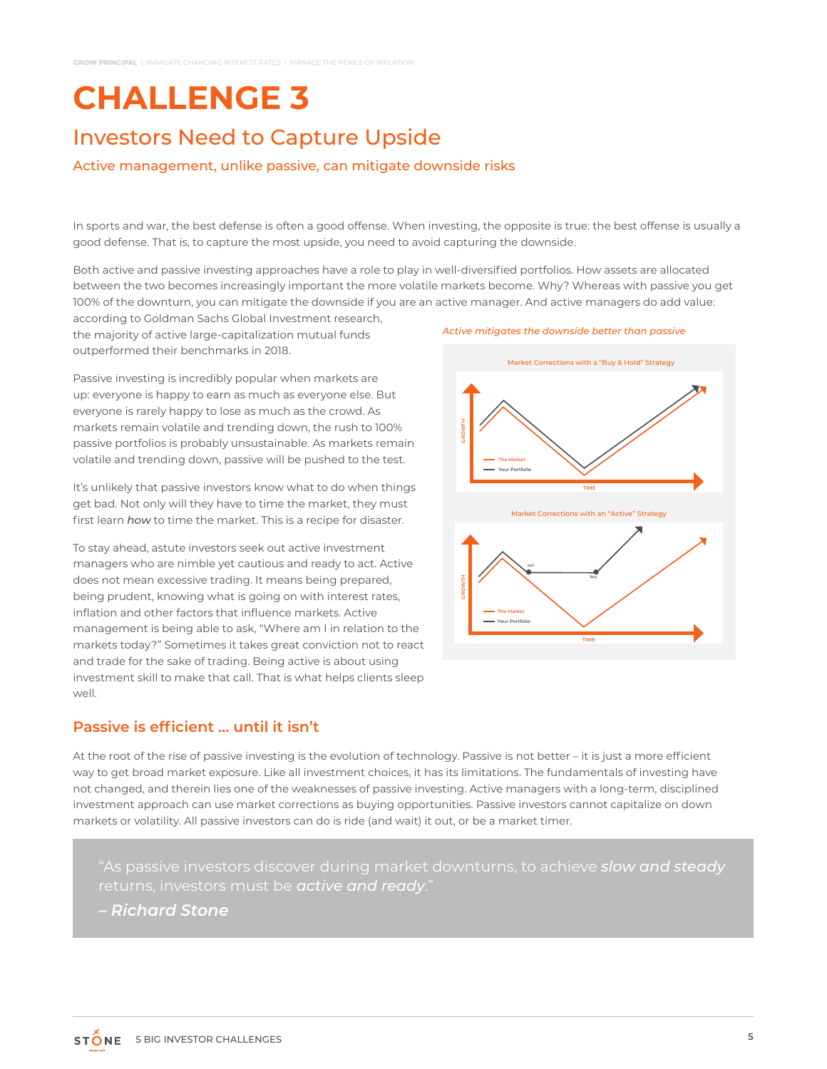### Investors Need to Capture Upside

#### Active management, unlike passive, can mitigate downside risks

In sports and war, the best defense is often a good offense. When investing, the opposite is true: the best offense is usually a good defense. That is, to capture the most upside, you need to avoid capturing the downside.

Both active and passive investing approaches have a role to play in well-diversified portfolios. How assets are allocated between the two becomes increasingly important the more volatile markets become. Why? Whereas with passive you get 100% of the downturn, you can mitigate the downside if you are an active manager. And active managers do add value:

according to Goldman Sachs Global Investment research, the majority of active large-capitalization mutual funds outperformed their benchmarks in 2018.

Passive investing is incredibly popular when markets are up: everyone is happy to earn as much as everyone else. But everyone is rarely happy to lose as much as the crowd. As markets remain volatile and trending down, the rush to 100% passive portfolios is probably unsustainable. As markets remain volatile and trending down, passive will be pushed to the test.

It's unlikely that passive investors know what to do when things get bad. Not only will they have to time the market, they must first learn *how* to time the market. This is a recipe for disaster.

To stay ahead, astute investors seek out active investment managers who are nimble yet cautious and ready to act. Active does not mean excessive trading. It means being prepared, being prudent, knowing what is going on with interest rates, inflation and other factors that influence markets. Active management is being able to ask, "Where am I in relation to the markets today?" Sometimes it takes great conviction not to react and trade for the sake of trading. Being active is about using investment skill to make that call. That is what helps clients sleep well.

#### **Passive is efficient … until it isn't**

At the root of the rise of passive investing is the evolution of technology. Passive is not better – it is just a more efficient way to get broad market exposure. Like all investment choices, it has its limitations. The fundamentals of investing have not changed, and therein lies one of the weaknesses of passive investing. Active managers with a long-term, disciplined investment approach can use market corrections as buying opportunities. Passive investors cannot capitalize on down markets or volatility. All passive investors can do is ride (and wait) it out, or be a market timer.

"As passive investors discover during market downturns, to achieve *slow and steady*  returns, investors must be *active and ready*."

*– Richard Stone*



*Active mitigates the downside better than passive*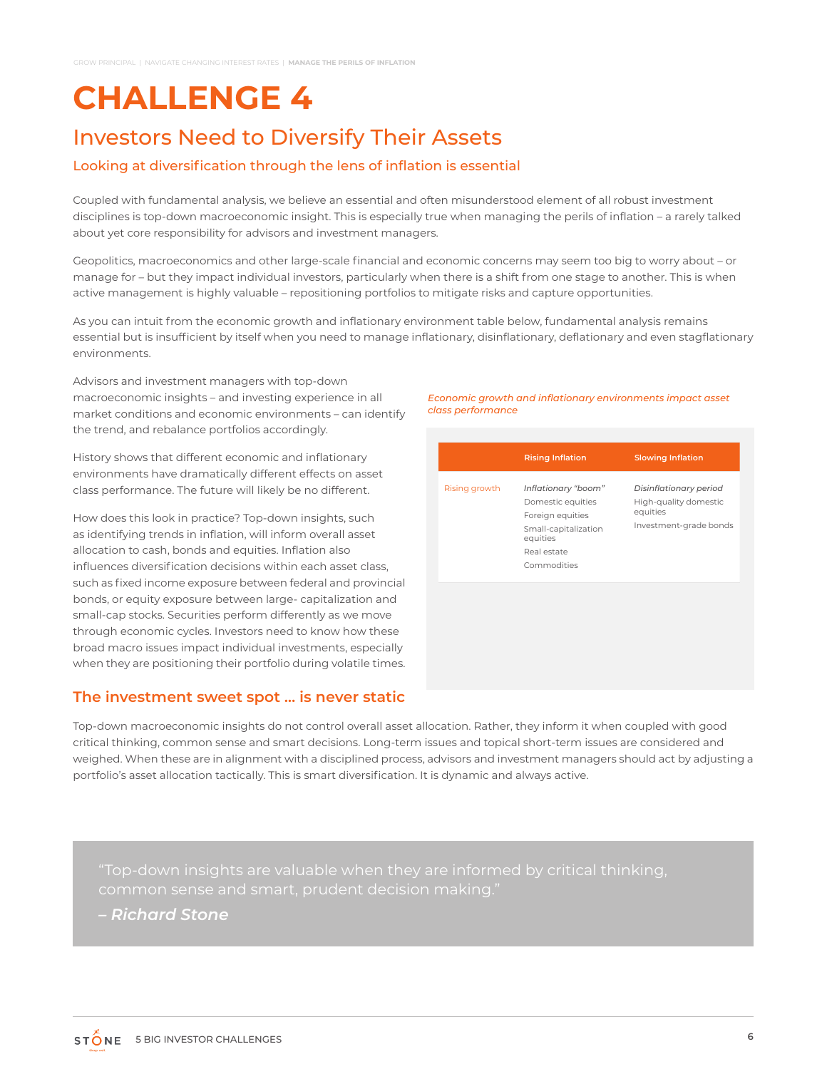### Investors Need to Diversify Their Assets

#### Looking at diversification through the lens of inflation is essential

Coupled with fundamental analysis, we believe an essential and often misunderstood element of all robust investment disciplines is top-down macroeconomic insight. This is especially true when managing the perils of inflation – a rarely talked about yet core responsibility for advisors and investment managers.

Geopolitics, macroeconomics and other large-scale financial and economic concerns may seem too big to worry about – or manage for – but they impact individual investors, particularly when there is a shift from one stage to another. This is when active management is highly valuable – repositioning portfolios to mitigate risks and capture opportunities.

As you can intuit from the economic growth and inflationary environment table below, fundamental analysis remains essential but is insufficient by itself when you need to manage inflationary, disinflationary, deflationary and even stagflationary environments.

Advisors and investment managers with top-down macroeconomic insights – and investing experience in all market conditions and economic environments – can identify the trend, and rebalance portfolios accordingly.

History shows that different economic and inflationary environments have dramatically different effects on asset class performance. The future will likely be no different.

How does this look in practice? Top-down insights, such as identifying trends in inflation, will inform overall asset allocation to cash, bonds and equities. Inflation also influences diversification decisions within each asset class, such as fixed income exposure between federal and provincial bonds, or equity exposure between large- capitalization and small-cap stocks. Securities perform differently as we move through economic cycles. Investors need to know how these broad macro issues impact individual investments, especially when they are positioning their portfolio during volatile times.

#### **The investment sweet spot … is never static**

*Economic growth and inflationary environments impact asset class performance*

Top-down macroeconomic insights do not control overall asset allocation. Rather, they inform it when coupled with good critical thinking, common sense and smart decisions. Long-term issues and topical short-term issues are considered and weighed. When these are in alignment with a disciplined process, advisors and investment managers should act by adjusting a portfolio's asset allocation tactically. This is smart diversification. It is dynamic and always active.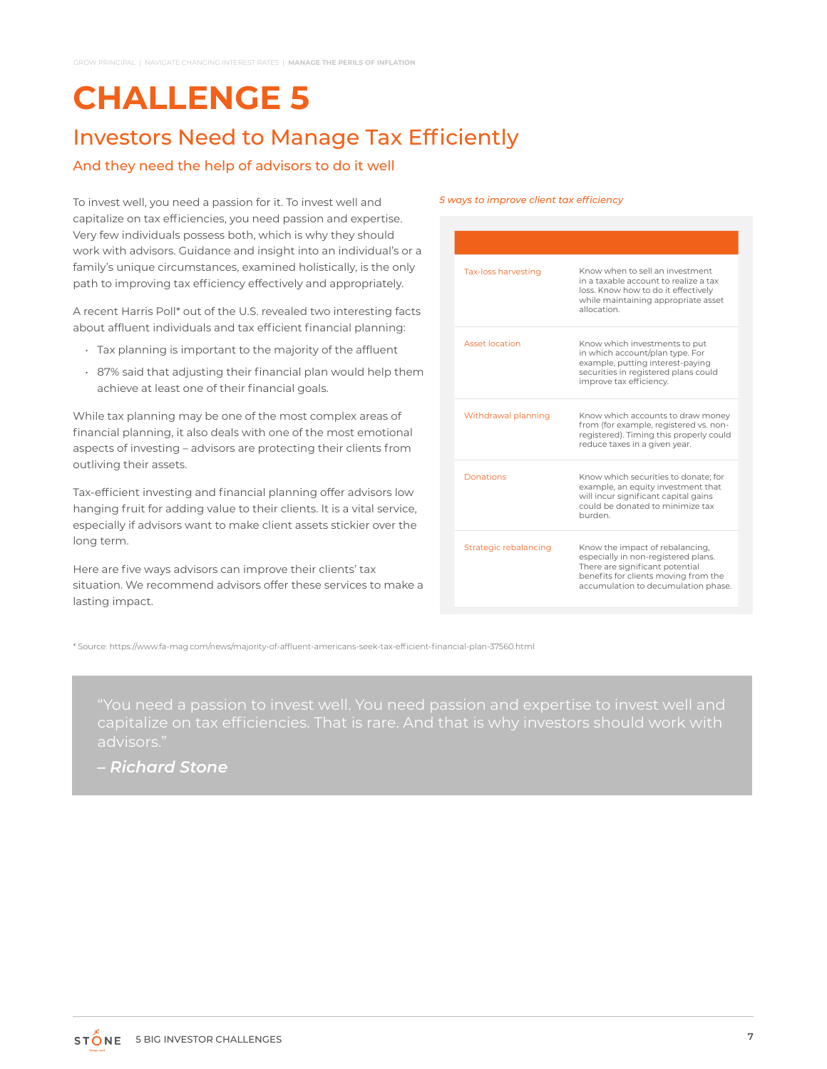### Investors Need to Manage Tax Efficiently

#### And they need the help of advisors to do it well

To invest well, you need a passion for it. To invest well and capitalize on tax efficiencies, you need passion and expertise. Very few individuals possess both, which is why they should work with advisors. Guidance and insight into an individual's or a family's unique circumstances, examined holistically, is the only path to improving tax efficiency effectively and appropriately.

A recent Harris Poll\* out of the U.S. revealed two interesting facts about affluent individuals and tax efficient financial planning:

- Tax planning is important to the majority of the affluent
- 87% said that adjusting their financial plan would help them achieve at least one of their financial goals.

While tax planning may be one of the most complex areas of financial planning, it also deals with one of the most emotional aspects of investing – advisors are protecting their clients from outliving their assets.

Tax-efficient investing and financial planning offer advisors low hanging fruit for adding value to their clients. It is a vital service, especially if advisors want to make client assets stickier over the long term.

Here are five ways advisors can improve their clients' tax situation. We recommend advisors offer these services to make a lasting impact.

#### *5 ways to improve client tax efficiency*

| Tax-loss harvesting   | Know when to sell an investment<br>in a taxable account to realize a tax<br>loss. Know how to do it effectively<br>while maintaining appropriate asset<br>allocation                     |
|-----------------------|------------------------------------------------------------------------------------------------------------------------------------------------------------------------------------------|
| Asset Incation        | Know which investments to put<br>in which account/plan type. For<br>example, putting interest-paying<br>securities in registered plans could<br>improve tax efficiency.                  |
| Withdrawal planning   | Know which accounts to draw money<br>from (for example, registered vs. non-<br>registered). Timing this properly could<br>reduce taxes in a given year.                                  |
| Donations             | Know which securities to donate: for<br>example, an equity investment that<br>will incur significant capital gains<br>could be donated to minimize tax<br>burden.                        |
| Strategic rebalancing | Know the impact of rebalancing,<br>especially in non-registered plans.<br>There are significant potential<br>benefits for clients moving from the<br>accumulation to decumulation phase. |

\* Source: https://www.fa-mag.com/news/majority-of-affluent-americans-seek-tax-efficient-financial-plan-37560.html